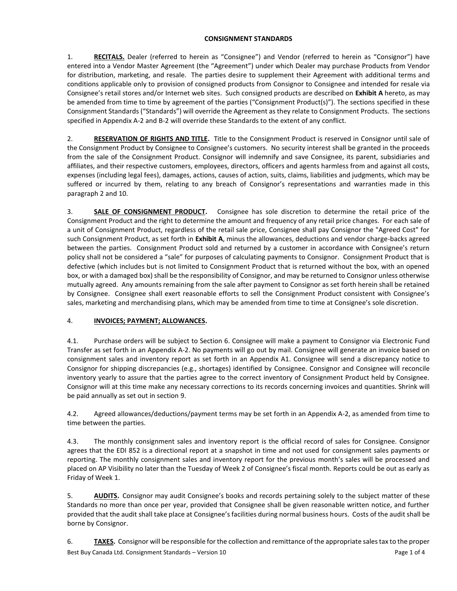### **CONSIGNMENT STANDARDS**

1. **RECITALS.** Dealer (referred to herein as "Consignee") and Vendor (referred to herein as "Consignor") have entered into a Vendor Master Agreement (the "Agreement") under which Dealer may purchase Products from Vendor for distribution, marketing, and resale. The parties desire to supplement their Agreement with additional terms and conditions applicable only to provision of consigned products from Consignor to Consignee and intended for resale via Consignee's retail stores and/or Internet web sites. Such consigned products are described on **Exhibit A** hereto, as may be amended from time to time by agreement of the parties ("Consignment Product(s)"). The sections specified in these Consignment Standards ("Standards") will override the Agreement as they relate to Consignment Products. The sections specified in Appendix A-2 and B-2 will override these Standards to the extent of any conflict.

2. **RESERVATION OF RIGHTS AND TITLE.** Title to the Consignment Product is reserved in Consignor until sale of the Consignment Product by Consignee to Consignee's customers. No security interest shall be granted in the proceeds from the sale of the Consignment Product. Consignor will indemnify and save Consignee, its parent, subsidiaries and affiliates, and their respective customers, employees, directors, officers and agents harmless from and against all costs, expenses (including legal fees), damages, actions, causes of action, suits, claims, liabilities and judgments, which may be suffered or incurred by them, relating to any breach of Consignor's representations and warranties made in this paragraph 2 and 10.

3. **SALE OF CONSIGNMENT PRODUCT.** Consignee has sole discretion to determine the retail price of the Consignment Product and the right to determine the amount and frequency of any retail price changes. For each sale of a unit of Consignment Product, regardless of the retail sale price, Consignee shall pay Consignor the "Agreed Cost" for such Consignment Product, as set forth in **Exhibit A**, minus the allowances, deductions and vendor charge-backs agreed between the parties. Consignment Product sold and returned by a customer in accordance with Consignee's return policy shall not be considered a "sale" for purposes of calculating payments to Consignor. Consignment Product that is defective (which includes but is not limited to Consignment Product that is returned without the box, with an opened box, or with a damaged box) shall be the responsibility of Consignor, and may be returned to Consignor unless otherwise mutually agreed. Any amounts remaining from the sale after payment to Consignor as set forth herein shall be retained by Consignee. Consignee shall exert reasonable efforts to sell the Consignment Product consistent with Consignee's sales, marketing and merchandising plans, which may be amended from time to time at Consignee's sole discretion.

# 4. **INVOICES; PAYMENT; ALLOWANCES.**

4.1. Purchase orders will be subject to Section 6. Consignee will make a payment to Consignor via Electronic Fund Transfer as set forth in an Appendix A-2. No payments will go out by mail. Consignee will generate an invoice based on consignment sales and inventory report as set forth in an Appendix A1. Consignee will send a discrepancy notice to Consignor for shipping discrepancies (e.g., shortages) identified by Consignee. Consignor and Consignee will reconcile inventory yearly to assure that the parties agree to the correct inventory of Consignment Product held by Consignee. Consignor will at this time make any necessary corrections to its records concerning invoices and quantities. Shrink will be paid annually as set out in section 9.

4.2. Agreed allowances/deductions/payment terms may be set forth in an Appendix A-2, as amended from time to time between the parties.

4.3. The monthly consignment sales and inventory report is the official record of sales for Consignee. Consignor agrees that the EDI 852 is a directional report at a snapshot in time and not used for consignment sales payments or reporting. The monthly consignment sales and inventory report for the previous month's sales will be processed and placed on AP Visibility no later than the Tuesday of Week 2 of Consignee's fiscal month. Reports could be out as early as Friday of Week 1.

5. **AUDITS.** Consignor may audit Consignee's books and records pertaining solely to the subject matter of these Standards no more than once per year, provided that Consignee shall be given reasonable written notice, and further provided that the audit shall take place at Consignee's facilities during normal business hours. Costs of the audit shall be borne by Consignor.

Best Buy Canada Ltd. Consignment Standards – Version 10 Page 1 of 4 6. **TAXES.** Consignor will be responsible for the collection and remittance of the appropriate sales tax to the proper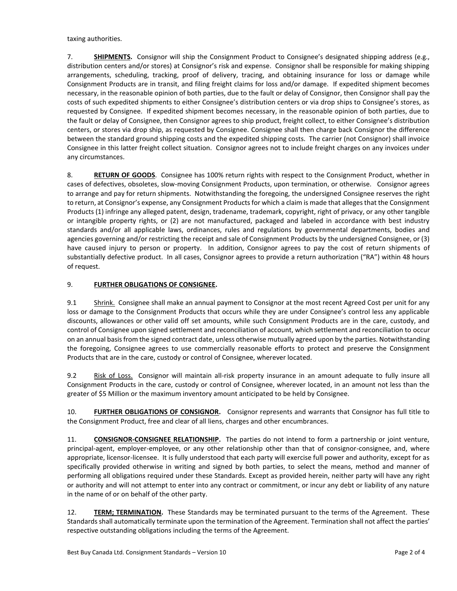taxing authorities.

7. **SHIPMENTS.** Consignor will ship the Consignment Product to Consignee's designated shipping address (e.g., distribution centers and/or stores) at Consignor's risk and expense. Consignor shall be responsible for making shipping arrangements, scheduling, tracking, proof of delivery, tracing, and obtaining insurance for loss or damage while Consignment Products are in transit, and filing freight claims for loss and/or damage. If expedited shipment becomes necessary, in the reasonable opinion of both parties, due to the fault or delay of Consignor, then Consignor shall pay the costs of such expedited shipments to either Consignee's distribution centers or via drop ships to Consignee's stores, as requested by Consignee. If expedited shipment becomes necessary, in the reasonable opinion of both parties, due to the fault or delay of Consignee, then Consignor agrees to ship product, freight collect, to either Consignee's distribution centers, or stores via drop ship, as requested by Consignee. Consignee shall then charge back Consignor the difference between the standard ground shipping costs and the expedited shipping costs. The carrier (not Consignor) shall invoice Consignee in this latter freight collect situation. Consignor agrees not to include freight charges on any invoices under any circumstances.

8. **RETURN OF GOODS**. Consignee has 100% return rights with respect to the Consignment Product, whether in cases of defectives, obsoletes, slow-moving Consignment Products, upon termination, or otherwise. Consignor agrees to arrange and pay for return shipments. Notwithstanding the foregoing, the undersigned Consignee reserves the right to return, at Consignor's expense, any Consignment Products for which a claim is made that alleges that the Consignment Products (1) infringe any alleged patent, design, tradename, trademark, copyright, right of privacy, or any other tangible or intangible property rights, or (2) are not manufactured, packaged and labeled in accordance with best industry standards and/or all applicable laws, ordinances, rules and regulations by governmental departments, bodies and agencies governing and/or restricting the receipt and sale of Consignment Products by the undersigned Consignee, or (3) have caused injury to person or property. In addition, Consignor agrees to pay the cost of return shipments of substantially defective product. In all cases, Consignor agrees to provide a return authorization ("RA") within 48 hours of request.

## 9. **FURTHER OBLIGATIONS OF CONSIGNEE.**

9.1 Shrink. Consignee shall make an annual payment to Consignor at the most recent Agreed Cost per unit for any loss or damage to the Consignment Products that occurs while they are under Consignee's control less any applicable discounts, allowances or other valid off set amounts, while such Consignment Products are in the care, custody, and control of Consignee upon signed settlement and reconciliation of account, which settlement and reconciliation to occur on an annual basis from the signed contract date, unless otherwise mutually agreed upon by the parties. Notwithstanding the foregoing, Consignee agrees to use commercially reasonable efforts to protect and preserve the Consignment Products that are in the care, custody or control of Consignee, wherever located.

9.2 Risk of Loss. Consignor will maintain all-risk property insurance in an amount adequate to fully insure all Consignment Products in the care, custody or control of Consignee, wherever located, in an amount not less than the greater of \$5 Million or the maximum inventory amount anticipated to be held by Consignee.

10. **FURTHER OBLIGATIONS OF CONSIGNOR.** Consignor represents and warrants that Consignor has full title to the Consignment Product, free and clear of all liens, charges and other encumbrances.

11. **CONSIGNOR-CONSIGNEE RELATIONSHIP.** The parties do not intend to form a partnership or joint venture, principal-agent, employer-employee, or any other relationship other than that of consignor-consignee, and, where appropriate, licensor-licensee. It is fully understood that each party will exercise full power and authority, except for as specifically provided otherwise in writing and signed by both parties, to select the means, method and manner of performing all obligations required under these Standards. Except as provided herein, neither party will have any right or authority and will not attempt to enter into any contract or commitment, or incur any debt or liability of any nature in the name of or on behalf of the other party.

12. **TERM; TERMINATION.** These Standards may be terminated pursuant to the terms of the Agreement. These Standards shall automatically terminate upon the termination of the Agreement. Termination shall not affect the parties' respective outstanding obligations including the terms of the Agreement.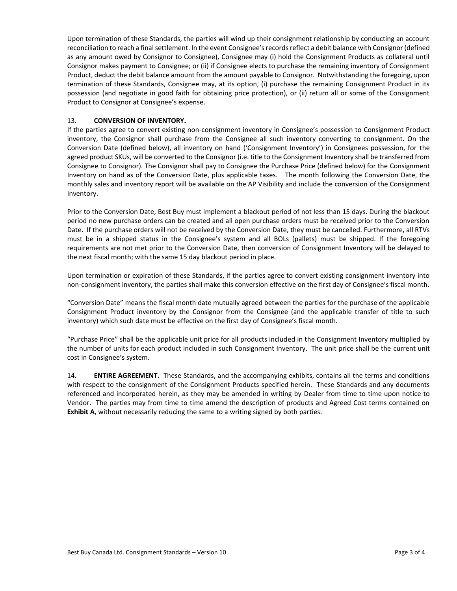Upon termination of these Standards, the parties will wind up their consignment relationship by conducting an account reconciliation to reach a final settlement. In the event Consignee's records reflect a debit balance with Consignor (defined as any amount owed by Consignor to Consignee), Consignee may (i) hold the Consignment Products as collateral until Consignor makes payment to Consignee; or (ii) if Consignee elects to purchase the remaining inventory of Consignment Product, deduct the debit balance amount from the amount payable to Consignor. Notwithstanding the foregoing, upon termination of these Standards, Consignee may, at its option, (i) purchase the remaining Consignment Product in its possession (and negotiate in good faith for obtaining price protection), or (ii) return all or some of the Consignment Product to Consignor at Consignee's expense.

### 13. **CONVERSION OF INVENTORY.**

If the parties agree to convert existing non-consignment inventory in Consignee's possession to Consignment Product inventory, the Consignor shall purchase from the Consignee all such inventory converting to consignment. On the Conversion Date (defined below), all inventory on hand ('Consignment Inventory') in Consignees possession, for the agreed product SKUs, will be converted to the Consignor (i.e. title to the Consignment Inventory shall be transferred from Consignee to Consignor). The Consignor shall pay to Consignee the Purchase Price (defined below) for the Consignment Inventory on hand as of the Conversion Date, plus applicable taxes. The month following the Conversion Date, the monthly sales and inventory report will be available on the AP Visibility and include the conversion of the Consignment Inventory.

Prior to the Conversion Date, Best Buy must implement a blackout period of not less than 15 days. During the blackout period no new purchase orders can be created and all open purchase orders must be received prior to the Conversion Date. If the purchase orders will not be received by the Conversion Date, they must be cancelled. Furthermore, all RTVs must be in a shipped status in the Consignee's system and all BOLs (pallets) must be shipped. If the foregoing requirements are not met prior to the Conversion Date, then conversion of Consignment Inventory will be delayed to the next fiscal month; with the same 15 day blackout period in place.

Upon termination or expiration of these Standards, if the parties agree to convert existing consignment inventory into non-consignment inventory, the parties shall make this conversion effective on the first day of Consignee's fiscal month.

"Conversion Date" means the fiscal month date mutually agreed between the parties for the purchase of the applicable Consignment Product inventory by the Consignor from the Consignee (and the applicable transfer of title to such inventory) which such date must be effective on the first day of Consignee's fiscal month.

"Purchase Price" shall be the applicable unit price for all products included in the Consignment Inventory multiplied by the number of units for each product included in such Consignment Inventory. The unit price shall be the current unit cost in Consignee's system.

14. **ENTIRE AGREEMENT.** These Standards, and the accompanying exhibits, contains all the terms and conditions with respect to the consignment of the Consignment Products specified herein. These Standards and any documents referenced and incorporated herein, as they may be amended in writing by Dealer from time to time upon notice to Vendor. The parties may from time to time amend the description of products and Agreed Cost terms contained on **Exhibit A**, without necessarily reducing the same to a writing signed by both parties.